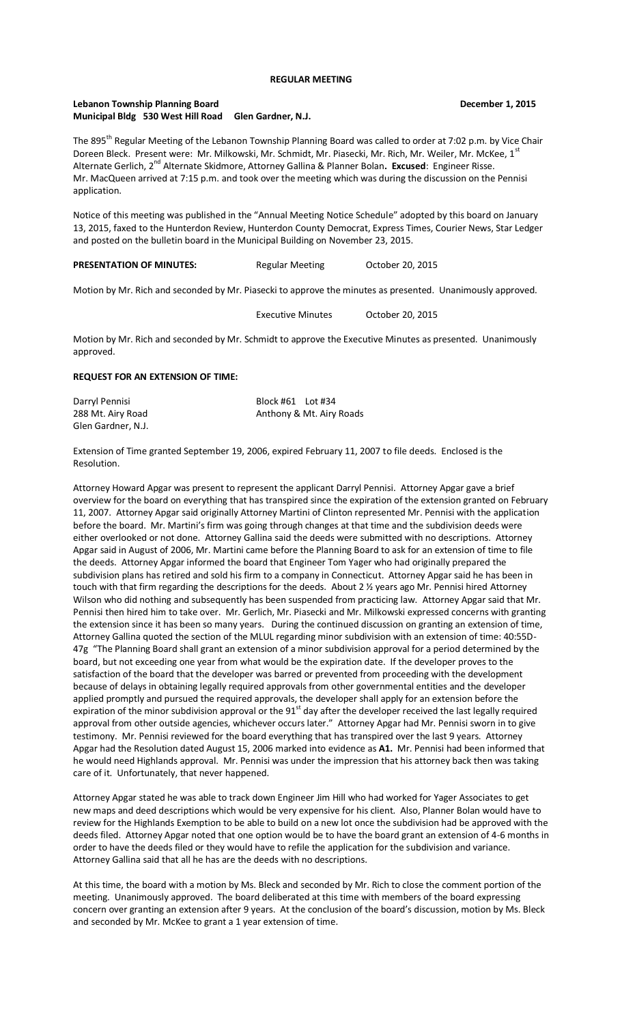## **REGULAR MEETING**

# **Lebanon Township Planning Board Community Community Community Community Community Community Community Community Municipal Bldg 530 West Hill Road Glen Gardner, N.J.**

The 895<sup>th</sup> Regular Meeting of the Lebanon Township Planning Board was called to order at 7:02 p.m. by Vice Chair Doreen Bleck. Present were: Mr. Milkowski, Mr. Schmidt, Mr. Piasecki, Mr. Rich, Mr. Weiler, Mr. McKee, 1<sup>s</sup> Alternate Gerlich, 2<sup>nd</sup> Alternate Skidmore, Attorney Gallina & Planner Bolan. Excused: Engineer Risse. Mr. MacQueen arrived at 7:15 p.m. and took over the meeting which was during the discussion on the Pennisi application.

Notice of this meeting was published in the "Annual Meeting Notice Schedule" adopted by this board on January 13, 2015, faxed to the Hunterdon Review, Hunterdon County Democrat, Express Times, Courier News, Star Ledger and posted on the bulletin board in the Municipal Building on November 23, 2015.

### PRESENTATION OF MINUTES: Regular Meeting October 20, 2015

Motion by Mr. Rich and seconded by Mr. Piasecki to approve the minutes as presented. Unanimously approved.

Executive Minutes October 20, 2015

Motion by Mr. Rich and seconded by Mr. Schmidt to approve the Executive Minutes as presented. Unanimously approved.

## **REQUEST FOR AN EXTENSION OF TIME:**

| Darryl Pennisi     | Block #61    Lot #34 |                          |
|--------------------|----------------------|--------------------------|
| 288 Mt. Airy Road  |                      | Anthony & Mt. Airy Roads |
| Glen Gardner, N.J. |                      |                          |

Extension of Time granted September 19, 2006, expired February 11, 2007 to file deeds. Enclosed is the Resolution.

Attorney Howard Apgar was present to represent the applicant Darryl Pennisi. Attorney Apgar gave a brief overview for the board on everything that has transpired since the expiration of the extension granted on February 11, 2007. Attorney Apgar said originally Attorney Martini of Clinton represented Mr. Pennisi with the application before the board. Mr. Martini's firm was going through changes at that time and the subdivision deeds were either overlooked or not done. Attorney Gallina said the deeds were submitted with no descriptions. Attorney Apgar said in August of 2006, Mr. Martini came before the Planning Board to ask for an extension of time to file the deeds. Attorney Apgar informed the board that Engineer Tom Yager who had originally prepared the subdivision plans has retired and sold his firm to a company in Connecticut. Attorney Apgar said he has been in touch with that firm regarding the descriptions for the deeds. About 2 ½ years ago Mr. Pennisi hired Attorney Wilson who did nothing and subsequently has been suspended from practicing law. Attorney Apgar said that Mr. Pennisi then hired him to take over. Mr. Gerlich, Mr. Piasecki and Mr. Milkowski expressed concerns with granting the extension since it has been so many years. During the continued discussion on granting an extension of time, Attorney Gallina quoted the section of the MLUL regarding minor subdivision with an extension of time: 40:55D-47g "The Planning Board shall grant an extension of a minor subdivision approval for a period determined by the board, but not exceeding one year from what would be the expiration date. If the developer proves to the satisfaction of the board that the developer was barred or prevented from proceeding with the development because of delays in obtaining legally required approvals from other governmental entities and the developer applied promptly and pursued the required approvals, the developer shall apply for an extension before the expiration of the minor subdivision approval or the  $91<sup>st</sup>$  day after the developer received the last legally required approval from other outside agencies, whichever occurs later." Attorney Apgar had Mr. Pennisi sworn in to give testimony. Mr. Pennisi reviewed for the board everything that has transpired over the last 9 years. Attorney Apgar had the Resolution dated August 15, 2006 marked into evidence as **A1.** Mr. Pennisi had been informed that he would need Highlands approval. Mr. Pennisi was under the impression that his attorney back then was taking care of it. Unfortunately, that never happened.

Attorney Apgar stated he was able to track down Engineer Jim Hill who had worked for Yager Associates to get new maps and deed descriptions which would be very expensive for his client. Also, Planner Bolan would have to review for the Highlands Exemption to be able to build on a new lot once the subdivision had be approved with the deeds filed. Attorney Apgar noted that one option would be to have the board grant an extension of 4-6 months in order to have the deeds filed or they would have to refile the application for the subdivision and variance. Attorney Gallina said that all he has are the deeds with no descriptions.

At this time, the board with a motion by Ms. Bleck and seconded by Mr. Rich to close the comment portion of the meeting. Unanimously approved. The board deliberated at this time with members of the board expressing concern over granting an extension after 9 years. At the conclusion of the board's discussion, motion by Ms. Bleck and seconded by Mr. McKee to grant a 1 year extension of time.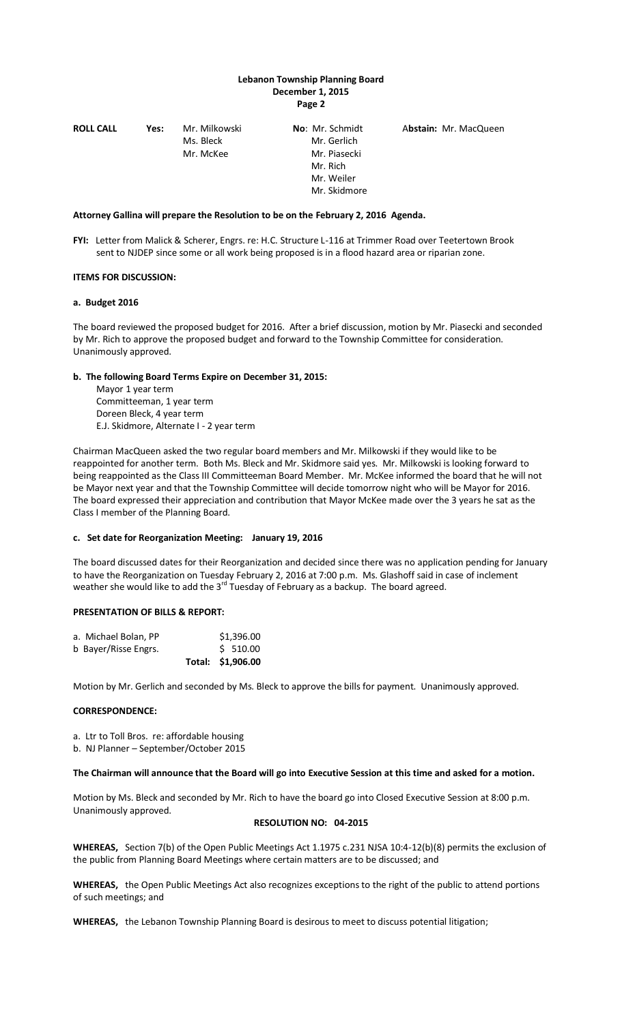# **Lebanon Township Planning Board December 1, 2015 Page 2**

| <b>ROLL CALL</b> | Yes: | Mr. Milkowski | <b>No:</b> Mr. Schmidt | Abstain: Mr. MacQueen |
|------------------|------|---------------|------------------------|-----------------------|
|                  |      | Ms. Bleck     | Mr. Gerlich            |                       |
|                  |      | Mr. McKee     | Mr. Piasecki           |                       |
|                  |      |               | Mr. Rich               |                       |
|                  |      |               | Mr. Weiler             |                       |
|                  |      |               | Mr. Skidmore           |                       |

#### **Attorney Gallina will prepare the Resolution to be on the February 2, 2016 Agenda.**

**FYI:** Letter from Malick & Scherer, Engrs. re: H.C. Structure L-116 at Trimmer Road over Teetertown Brook sent to NJDEP since some or all work being proposed is in a flood hazard area or riparian zone.

### **ITEMS FOR DISCUSSION:**

### **a. Budget 2016**

The board reviewed the proposed budget for 2016. After a brief discussion, motion by Mr. Piasecki and seconded by Mr. Rich to approve the proposed budget and forward to the Township Committee for consideration. Unanimously approved.

### **b. The following Board Terms Expire on December 31, 2015:**

 Mayor 1 year term Committeeman, 1 year term Doreen Bleck, 4 year term E.J. Skidmore, Alternate I - 2 year term

Chairman MacQueen asked the two regular board members and Mr. Milkowski if they would like to be reappointed for another term. Both Ms. Bleck and Mr. Skidmore said yes. Mr. Milkowski is looking forward to being reappointed as the Class III Committeeman Board Member. Mr. McKee informed the board that he will not be Mayor next year and that the Township Committee will decide tomorrow night who will be Mayor for 2016. The board expressed their appreciation and contribution that Mayor McKee made over the 3 years he sat as the Class I member of the Planning Board.

#### **c. Set date for Reorganization Meeting: January 19, 2016**

The board discussed dates for their Reorganization and decided since there was no application pending for January to have the Reorganization on Tuesday February 2, 2016 at 7:00 p.m. Ms. Glashoff said in case of inclement weather she would like to add the  $3^{rd}$  Tuesday of February as a backup. The board agreed.

## **PRESENTATION OF BILLS & REPORT:**

|                      | Total: \$1,906.00 |             |
|----------------------|-------------------|-------------|
| b Bayer/Risse Engrs. |                   | $5\,510.00$ |
| a. Michael Bolan, PP |                   | \$1,396.00  |

Motion by Mr. Gerlich and seconded by Ms. Bleck to approve the bills for payment. Unanimously approved.

## **CORRESPONDENCE:**

a. Ltr to Toll Bros. re: affordable housing

b. NJ Planner – September/October 2015

#### **The Chairman will announce that the Board will go into Executive Session at this time and asked for a motion.**

Motion by Ms. Bleck and seconded by Mr. Rich to have the board go into Closed Executive Session at 8:00 p.m. Unanimously approved.

### **RESOLUTION NO: 04-2015**

**WHEREAS,** Section 7(b) of the Open Public Meetings Act 1.1975 c.231 NJSA 10:4-12(b)(8) permits the exclusion of the public from Planning Board Meetings where certain matters are to be discussed; and

**WHEREAS,** the Open Public Meetings Act also recognizes exceptions to the right of the public to attend portions of such meetings; and

**WHEREAS,** the Lebanon Township Planning Board is desirous to meet to discuss potential litigation;